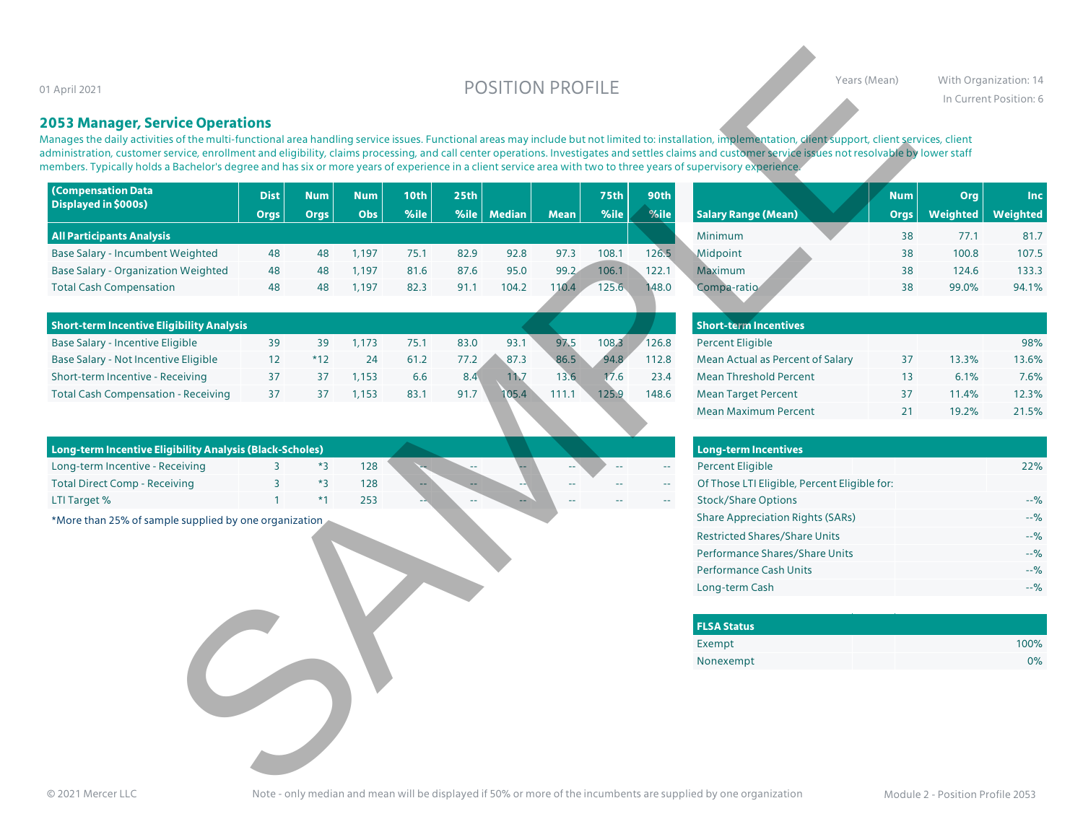# O1 April 2021 With Organization: 14

## **2053 Manager, Service Operations**

| 1 April 2021                                                                                                                                                                                                                                                                                                                                                                                                                                                                                                                                                                                                                      |                |             |            |             | <b>POSITION PROFILE</b> |               |             |             |                                               | Years (Mean)                                                                                                    |             | With Organization: 14<br>In Current Position: 6 |            |  |
|-----------------------------------------------------------------------------------------------------------------------------------------------------------------------------------------------------------------------------------------------------------------------------------------------------------------------------------------------------------------------------------------------------------------------------------------------------------------------------------------------------------------------------------------------------------------------------------------------------------------------------------|----------------|-------------|------------|-------------|-------------------------|---------------|-------------|-------------|-----------------------------------------------|-----------------------------------------------------------------------------------------------------------------|-------------|-------------------------------------------------|------------|--|
| <b>2053 Manager, Service Operations</b><br>Aanages the daily activities of the multi-functional area handling service issues. Functional areas may include but not limited to: installation, implementation, client support, client services, client<br>dministration, customer service, enrollment and eligibility, claims processing, and call center operations. Investigates and settles claims and customer service issues not resolvable by lower staff<br>nembers. Typically holds a Bachelor's degree and has six or more years of experience in a client service area with two to three years of supervisory experience. |                |             |            |             |                         |               |             |             |                                               |                                                                                                                 |             |                                                 |            |  |
| <b>(Compensation Data</b>                                                                                                                                                                                                                                                                                                                                                                                                                                                                                                                                                                                                         | <b>Dist</b>    | <b>Num</b>  | <b>Num</b> | <b>10th</b> | 25th                    |               |             | <b>75th</b> | 90th                                          |                                                                                                                 | <b>Num</b>  | Org                                             | <b>Inc</b> |  |
| Displayed in \$000s)                                                                                                                                                                                                                                                                                                                                                                                                                                                                                                                                                                                                              | <b>Orgs</b>    | <b>Orgs</b> | Obs        | %ile        | %ile                    | <b>Median</b> | <b>Mean</b> | %ile        | %ile                                          | <b>Salary Range (Mean)</b>                                                                                      | <b>Orgs</b> | Weighted                                        | Weighted   |  |
| <b>All Participants Analysis</b>                                                                                                                                                                                                                                                                                                                                                                                                                                                                                                                                                                                                  |                |             |            |             |                         |               |             |             |                                               | Minimum                                                                                                         | 38          | 77.1                                            | 81.7       |  |
| Base Salary - Incumbent Weighted                                                                                                                                                                                                                                                                                                                                                                                                                                                                                                                                                                                                  | 48             | 48          | 1,197      | 75.1        | 82.9                    | 92.8          | 97.3        | 108.1       | 126.5                                         | Midpoint                                                                                                        | 38          | 100.8                                           | 107.5      |  |
| <b>Base Salary - Organization Weighted</b>                                                                                                                                                                                                                                                                                                                                                                                                                                                                                                                                                                                        | 48             | 48          | 1,197      | 81.6        | 87.6                    | 95.0          | 99.2        | 106.1       | 122.1                                         | Maximum                                                                                                         | 38          | 124.6                                           | 133.3      |  |
| <b>Total Cash Compensation</b>                                                                                                                                                                                                                                                                                                                                                                                                                                                                                                                                                                                                    | 48             | 48          | 1,197      | 82.3        | 91.1                    | 104.2         | 110.4       | 125.6       | 148.0                                         | Compa-ratio                                                                                                     | 38          | 99.0%                                           | 94.1%      |  |
| <b>Short-term Incentive Eligibility Analysis</b>                                                                                                                                                                                                                                                                                                                                                                                                                                                                                                                                                                                  |                |             |            |             |                         |               |             |             |                                               | <b>Short-term Incentives</b>                                                                                    |             |                                                 |            |  |
| Base Salary - Incentive Eligible                                                                                                                                                                                                                                                                                                                                                                                                                                                                                                                                                                                                  | 39             | 39          | 1,173      | 75.1        | 83.0                    | 93.1          | 97.5        | 108.3       | 126.8                                         | <b>Percent Eligible</b>                                                                                         |             |                                                 | 98%        |  |
| Base Salary - Not Incentive Eligible                                                                                                                                                                                                                                                                                                                                                                                                                                                                                                                                                                                              | 12             | $*12$       | 24         | 61.2        | 77.2                    | 87.3          | 86.5        | 94.8        | 112.8                                         | Mean Actual as Percent of Salary                                                                                | 37          | 13.3%                                           | 13.6%      |  |
| Short-term Incentive - Receiving                                                                                                                                                                                                                                                                                                                                                                                                                                                                                                                                                                                                  | 37             | 37          | 1,153      | 6.6         | 8.4                     | 11.7          | 13.6        | 17.6        | 23.4                                          | <b>Mean Threshold Percent</b>                                                                                   | 13          | 6.1%                                            | 7.6%       |  |
| <b>Total Cash Compensation - Receiving</b>                                                                                                                                                                                                                                                                                                                                                                                                                                                                                                                                                                                        | 37             | 37          | 1,153      | 83.1        | 91.7                    | 05.4          | 111.1       | 125.9       | 148.6                                         | <b>Mean Target Percent</b>                                                                                      | 37          | 11.4%                                           | 12.3%      |  |
|                                                                                                                                                                                                                                                                                                                                                                                                                                                                                                                                                                                                                                   |                |             |            |             |                         |               |             |             |                                               | <b>Mean Maximum Percent</b>                                                                                     | 21          | 19.2%                                           | 21.5%      |  |
| Long-term Incentive Eligibility Analysis (Black-Scholes)                                                                                                                                                                                                                                                                                                                                                                                                                                                                                                                                                                          |                |             |            |             |                         |               |             |             |                                               | <b>Long-term Incentives</b>                                                                                     |             |                                                 |            |  |
| Long-term Incentive - Receiving                                                                                                                                                                                                                                                                                                                                                                                                                                                                                                                                                                                                   | $\overline{3}$ | $*3$        | 128        |             |                         |               |             |             | $\mathbb{L}^2$                                | <b>Percent Eligible</b>                                                                                         |             |                                                 | 22%        |  |
| <b>Total Direct Comp - Receiving</b>                                                                                                                                                                                                                                                                                                                                                                                                                                                                                                                                                                                              | 3              | $*3$        | 128        |             |                         |               |             |             | $\mathord{\hspace{1pt}\text{--}\hspace{1pt}}$ | Of Those LTI Eligible, Percent Eligible for:                                                                    |             |                                                 |            |  |
| LTI Target %                                                                                                                                                                                                                                                                                                                                                                                                                                                                                                                                                                                                                      |                | $*1$        | 253        |             |                         |               |             |             |                                               | <b>Stock/Share Options</b>                                                                                      |             |                                                 | $-9/6$     |  |
| *More than 25% of sample supplied by one organization                                                                                                                                                                                                                                                                                                                                                                                                                                                                                                                                                                             |                |             |            |             |                         |               |             |             |                                               | <b>Share Appreciation Rights (SARs)</b>                                                                         |             |                                                 | $-9/6$     |  |
|                                                                                                                                                                                                                                                                                                                                                                                                                                                                                                                                                                                                                                   |                |             |            |             |                         |               |             |             |                                               | <b>Restricted Shares/Share Units</b>                                                                            |             |                                                 | $-9/6$     |  |
|                                                                                                                                                                                                                                                                                                                                                                                                                                                                                                                                                                                                                                   |                |             |            |             |                         |               |             |             |                                               | Performance Shares/Share Units                                                                                  |             |                                                 | $-9/6$     |  |
|                                                                                                                                                                                                                                                                                                                                                                                                                                                                                                                                                                                                                                   |                |             |            |             |                         |               |             |             |                                               | <b>Performance Cash Units</b>                                                                                   |             |                                                 | $-9/6$     |  |
|                                                                                                                                                                                                                                                                                                                                                                                                                                                                                                                                                                                                                                   |                |             |            |             |                         |               |             |             |                                               | Long-term Cash                                                                                                  |             |                                                 | $-9/6$     |  |
|                                                                                                                                                                                                                                                                                                                                                                                                                                                                                                                                                                                                                                   |                |             |            |             |                         |               |             |             |                                               | <b>FLSA Status</b>                                                                                              |             |                                                 |            |  |
|                                                                                                                                                                                                                                                                                                                                                                                                                                                                                                                                                                                                                                   |                |             |            |             |                         |               |             |             |                                               | Exempt                                                                                                          |             |                                                 | 100%       |  |
|                                                                                                                                                                                                                                                                                                                                                                                                                                                                                                                                                                                                                                   |                |             |            |             |                         |               |             |             |                                               | Nonexempt                                                                                                       |             |                                                 | 0%         |  |
| © 2021 Mercer II C                                                                                                                                                                                                                                                                                                                                                                                                                                                                                                                                                                                                                |                |             |            |             |                         |               |             |             |                                               | Note - only median and mean will be displayed if 50% or more of the incumbents are supplied by one organization |             | Module 2 - Position Profile 2053                |            |  |

| 90th  |                            | <b>Num</b>  | <b>Org</b>      | <b>Inc</b>      |
|-------|----------------------------|-------------|-----------------|-----------------|
| %ile  | <b>Salary Range (Mean)</b> | <b>Orgs</b> | <b>Weighted</b> | <b>Weighted</b> |
|       | Minimum                    | 38          | 77.1            | 81.7            |
| 26.5  | Midpoint                   | 38          | 100.8           | 107.5           |
| 122.1 | Maximum                    | 38          | 124.6           | 133.3           |
| 48.0  | Compa-ratio                | 38          | 99.0%           | 94.1%           |

| Short-term Incentive Eligibility Analysis |  |      |      |      |        |       |       | <b>Short-term Incentives</b> |                                  |  |       |       |  |
|-------------------------------------------|--|------|------|------|--------|-------|-------|------------------------------|----------------------------------|--|-------|-------|--|
| Base Salary - Incentive Eligible          |  | .173 | 75.1 | 83.0 | 93.1   | 97.1  | 108.3 | 126.8                        | <b>Percent Eligible</b>          |  |       | 98%   |  |
| Base Salary - Not Incentive Eligible      |  | 24   | 61.2 | 77.2 | 87.3   | 86.5  | 94.8  | 112.8                        | Mean Actual as Percent of Salary |  | 13.3% | 13.6% |  |
| Short-term Incentive - Receiving          |  | .153 | 6.6  |      | l 1. v | 13.6  | 17.6  | 23.4                         | <b>Mean Threshold Percent</b>    |  | 6.1%  | 7.6%  |  |
| Total Cash Compensation - Receiving       |  | .153 | 83.7 | 91.7 | 105.4  | 111.3 | 125.9 | 148.6                        | Mean Target Percent              |  | 11.4% | 12.3% |  |
|                                           |  |      |      |      |        |       |       |                              |                                  |  |       |       |  |

| Long-term Incentive Eligibility Analysis (Black-Scholes) |  |  |     |       |    |    |       |               |               | Long-term Incentives                         |       |  |  |  |  |  |
|----------------------------------------------------------|--|--|-----|-------|----|----|-------|---------------|---------------|----------------------------------------------|-------|--|--|--|--|--|
| Long-term Incentive - Receiving                          |  |  | 128 | --    | -- |    | $- -$ | $- -$         | $\sim$ $\sim$ | Percent Eligible                             | 22%   |  |  |  |  |  |
| Total Direct Comp - Receiving                            |  |  | 128 | $- -$ | -- | -- | --    | --            | $- -$         | Of Those LTI Eligible, Percent Eligible for: |       |  |  |  |  |  |
| LTI Target %                                             |  |  | 253 | --    | -- | -- | --    | $\sim$ $\sim$ | $- -$         | Stock/Share Options                          | $-$ % |  |  |  |  |  |

| <b>Short-term Incentives</b>     |    |       |       |
|----------------------------------|----|-------|-------|
| <b>Percent Eligible</b>          |    |       | 98%   |
| Mean Actual as Percent of Salary | 37 | 13.3% | 13.6% |
| Mean Threshold Percent           | 13 | 6.1%  | 7.6%  |
| <b>Mean Target Percent</b>       | 37 | 11.4% | 12.3% |
| <b>Mean Maximum Percent</b>      | つ1 | 19.2% | 21.5% |

| <b>Long-term Incentives</b>                  |        |
|----------------------------------------------|--------|
| <b>Percent Eligible</b>                      | 22%    |
| Of Those LTI Eligible, Percent Eligible for: |        |
| <b>Stock/Share Options</b>                   | $-9/2$ |
| <b>Share Appreciation Rights (SARs)</b>      | $-96$  |
| <b>Restricted Shares/Share Units</b>         | $-96$  |
| Performance Shares/Share Units               | $-96$  |
| <b>Performance Cash Units</b>                | $-96$  |
| Long-term Cash                               | $-90$  |

| <b>FLSA Status</b> |      |
|--------------------|------|
| Exempt             | 100% |
| Nonexempt          | 0%   |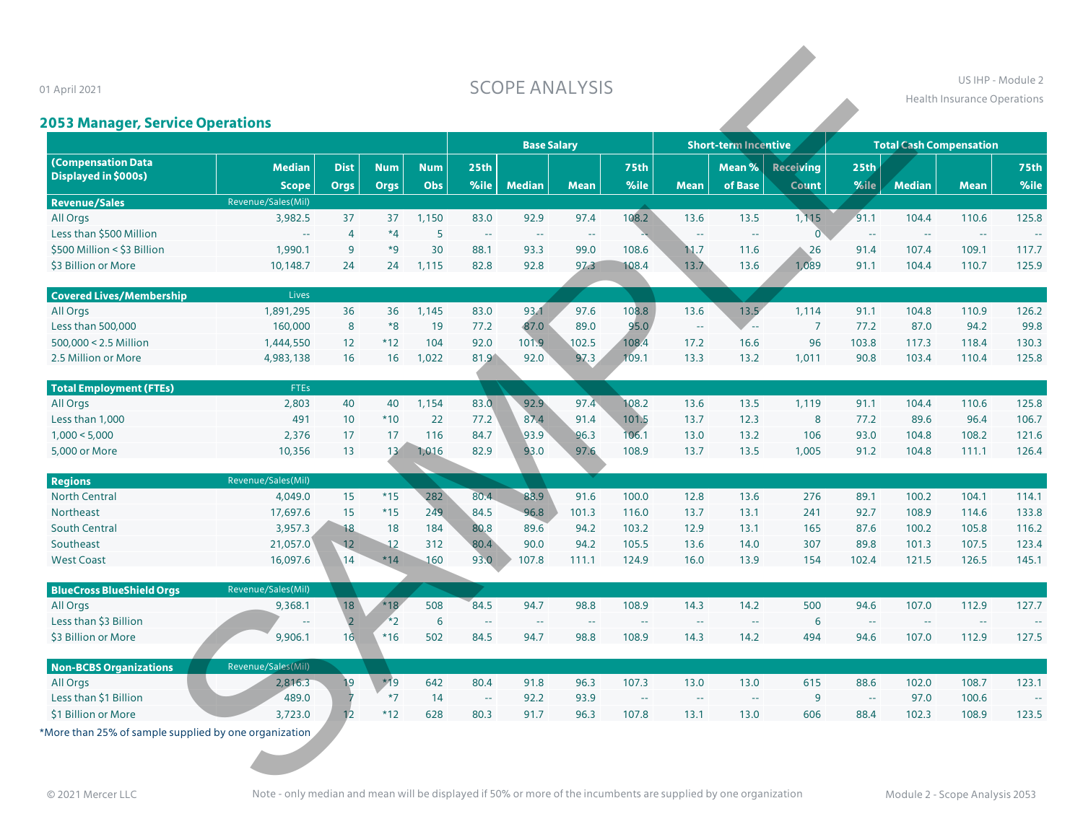## **SCOPE ANALYSIS**

### US IHP - Module 2 **Health Insurance Operations**

# **2053 Manager, Service Operations**

01 April 2021

| 1 April 2021<br><b>2053 Manager, Service Operations</b> |                               |                            |                           |                          |                          | <b>SCOPE ANALYSIS</b> |             |              |                         |                             |                                  |                          | US IHP - Module 2<br><b>Health Insurance Operations</b> |             |                     |
|---------------------------------------------------------|-------------------------------|----------------------------|---------------------------|--------------------------|--------------------------|-----------------------|-------------|--------------|-------------------------|-----------------------------|----------------------------------|--------------------------|---------------------------------------------------------|-------------|---------------------|
|                                                         |                               |                            |                           |                          |                          | <b>Base Salary</b>    |             |              |                         | <b>Short-term Incentive</b> |                                  |                          | <b>Total Cash Compensation</b>                          |             |                     |
| <b>(Compensation Data</b><br>Displayed in \$000s)       | <b>Median</b><br><b>Scope</b> | <b>Dist</b><br><b>Orgs</b> | <b>Num</b><br><b>Orgs</b> | <b>Num</b><br><b>Obs</b> | 25 <sub>th</sub><br>%ile | <b>Median</b>         | <b>Mean</b> | 75th<br>%ile | <b>Mean</b>             | Mean %<br>of Base           | <b>Receiving</b><br><b>Count</b> | 25 <sub>th</sub><br>%ile | <b>Median</b>                                           | <b>Mean</b> | <b>75th</b><br>%ile |
| <b>Revenue/Sales</b>                                    | Revenue/Sales(Mil)            |                            |                           |                          |                          |                       |             |              |                         |                             |                                  |                          |                                                         |             |                     |
| All Orgs                                                | 3,982.5                       | 37                         | 37                        | 1,150                    | 83.0                     | 92.9                  | 97.4        | 108.2        | 13.6                    | 13.5                        | 1,115                            | 91.1                     | 104.4                                                   | 110.6       | 125.8               |
| Less than \$500 Million                                 | $\sim$ $\sim$                 | $\overline{4}$             | $*4$                      | 5 <sup>5</sup>           | $\sim$                   | $\sim$                | $\sim$      |              | $\mathbb{L} \mathbb{L}$ | $\sim$                      | $\overline{0}$                   | $\sim$                   | $\sim$                                                  | $\sim$      |                     |
| \$500 Million < \$3 Billion                             | 1,990.1                       | 9                          | $*9$                      | 30                       | 88.1                     | 93.3                  | 99.0        | 108.6        | 11.7                    | 11.6                        | 26                               | 91.4                     | 107.4                                                   | 109.1       | 117.7               |
| \$3 Billion or More                                     | 10,148.7                      | 24                         | 24                        | 1,115                    | 82.8                     | 92.8                  | 97.3        | 108.4        | 13.7                    | 13.6                        | 1,089                            | 91.1                     | 104.4                                                   | 110.7       | 125.9               |
|                                                         |                               |                            |                           |                          |                          |                       |             |              |                         |                             |                                  |                          |                                                         |             |                     |
| <b>Covered Lives/Membership</b>                         | Lives                         |                            |                           |                          |                          |                       |             |              |                         |                             |                                  |                          |                                                         |             |                     |
| All Orgs                                                | 1,891,295                     | 36                         | 36                        | 1,145                    | 83.0                     | 93.1                  | 97.6        | 108.8        | 13.6                    | 13.5                        | 1,114                            | 91.1                     | 104.8                                                   | 110.9       | 126.2               |
| Less than 500,000                                       | 160,000                       | 8                          | $*8$                      | 19                       | 77.2                     | 87.0                  | 89.0        | 95.0         | $\mathbb{Z}^2$          |                             | $\overline{7}$                   | 77.2                     | 87.0                                                    | 94.2        | 99.8                |
| 500,000 < 2.5 Million                                   | 1,444,550                     | 12                         | $*12$                     | 104                      | 92.0                     | 101.9                 | 102.5       | 108.4        | 17.2                    | 16.6                        | 96                               | 103.8                    | 117.3                                                   | 118.4       | 130.3               |
| 2.5 Million or More                                     | 4,983,138                     | 16                         | 16                        | 1,022                    | 81.9                     | 92.0                  | 97.3        | 109.1        | 13.3                    | 13.2                        | 1,011                            | 90.8                     | 103.4                                                   | 110.4       | 125.8               |
| <b>Total Employment (FTEs)</b>                          | <b>FTEs</b>                   |                            |                           |                          |                          |                       |             |              |                         |                             |                                  |                          |                                                         |             |                     |
| All Orgs                                                | 2,803                         | 40                         | 40                        | 1,154                    | 83.0                     | 92.9                  | 97.4        | 108.2        | 13.6                    | 13.5                        | 1,119                            | 91.1                     | 104.4                                                   | 110.6       | 125.8               |
| Less than 1,000                                         | 491                           | 10                         | $*10$                     | 22                       | 77.2                     | 87.4                  | 91.4        | 101.5        | 13.7                    | 12.3                        | 8                                | 77.2                     | 89.6                                                    | 96.4        | 106.7               |
| 1,000 < 5,000                                           | 2,376                         | 17                         | 17                        | 116                      | 84.7                     | 93.9                  | 96.3        | 106.1        | 13.0                    | 13.2                        | 106                              | 93.0                     | 104.8                                                   | 108.2       | 121.6               |
| 5,000 or More                                           | 10,356                        | 13                         | 13                        | 1,016                    | 82.9                     | 93.0                  | 97.6        | 108.9        | 13.7                    | 13.5                        | 1.005                            | 91.2                     | 104.8                                                   | 111.1       | 126.4               |
| <b>Regions</b>                                          | Revenue/Sales(Mil)            |                            |                           |                          |                          |                       |             |              |                         |                             |                                  |                          |                                                         |             |                     |
| <b>North Central</b>                                    | 4,049.0                       | 15                         | $*15$                     | 282                      | 80.4                     | 88.9                  | 91.6        | 100.0        | 12.8                    | 13.6                        | 276                              | 89.1                     | 100.2                                                   | 104.1       | 114.1               |
| Northeast                                               | 17,697.6                      | 15                         | $*15$                     | 249                      | 84.5                     | 96.8                  | 101.3       | 116.0        | 13.7                    | 13.1                        | 241                              | 92.7                     | 108.9                                                   | 114.6       | 133.8               |
| <b>South Central</b>                                    | 3,957.3                       | 18                         | 18                        | 184                      | 80.8                     | 89.6                  | 94.2        | 103.2        | 12.9                    | 13.1                        | 165                              | 87.6                     | 100.2                                                   | 105.8       | 116.2               |
| Southeast                                               | 21,057.0                      | 12                         | 12                        | 312                      | 80.4                     | 90.0                  | 94.2        | 105.5        | 13.6                    | 14.0                        | 307                              | 89.8                     | 101.3                                                   | 107.5       | 123.4               |
| <b>West Coast</b>                                       | 16,097.6                      | 14                         | $*14$                     | 160                      | 93.0                     | 107.8                 | 111.1       | 124.9        | 16.0                    | 13.9                        | 154                              | 102.4                    | 121.5                                                   | 126.5       | 145.1               |
|                                                         |                               |                            |                           |                          |                          |                       |             |              |                         |                             |                                  |                          |                                                         |             |                     |
| <b>BlueCross BlueShield Orgs</b>                        | Revenue/Sales(Mil)            |                            |                           |                          |                          |                       |             |              |                         |                             |                                  |                          |                                                         |             |                     |
| All Orgs                                                | 9,368.1                       | 18                         | $*18$                     | 508                      | 84.5                     | 94.7                  | 98.8        | 108.9        | 14.3                    | 14.2                        | 500                              | 94.6                     | 107.0                                                   | 112.9       | 127.7               |
| Less than \$3 Billion                                   |                               | $\overline{2}$             | $*2$                      | 6                        | ÷,                       | $\sim$                | $\sim$ $-$  | $\sim$       |                         | $\sim$                      | 6                                | $\sim$ $\sim$            | $\sim$                                                  | $\sim$      | ц.                  |
| \$3 Billion or More                                     | 9,906.1                       | 16                         | $*16$                     | 502                      | 84.5                     | 94.7                  | 98.8        | 108.9        | 14.3                    | 14.2                        | 494                              | 94.6                     | 107.0                                                   | 112.9       | 127.5               |
| <b>Non-BCBS Organizations</b>                           | Revenue/Sales(Mil)            |                            |                           |                          |                          |                       |             |              |                         |                             |                                  |                          |                                                         |             |                     |
| All Orgs                                                | 2,816.3                       | 19                         | $*19$                     | 642                      | 80.4                     | 91.8                  | 96.3        | 107.3        | 13.0                    | 13.0                        | 615                              | 88.6                     | 102.0                                                   | 108.7       | 123.1               |
| Less than \$1 Billion                                   | 489.0                         |                            | $*7$                      | 14                       | $\sim$                   | 92.2                  | 93.9        | $\sim$       |                         |                             | $\overline{9}$                   | $\sim$                   | 97.0                                                    | 100.6       |                     |
| \$1 Billion or More                                     | 3,723.0                       | 12                         | $*12$                     | 628                      | 80.3                     | 91.7                  | 96.3        | 107.8        | 13.1                    | 13.0                        | 606                              | 88.4                     | 102.3                                                   | 108.9       | 123.5               |
|                                                         |                               |                            |                           |                          |                          |                       |             |              |                         |                             |                                  |                          |                                                         |             |                     |

\*More than 25% of sample supplied by one organization